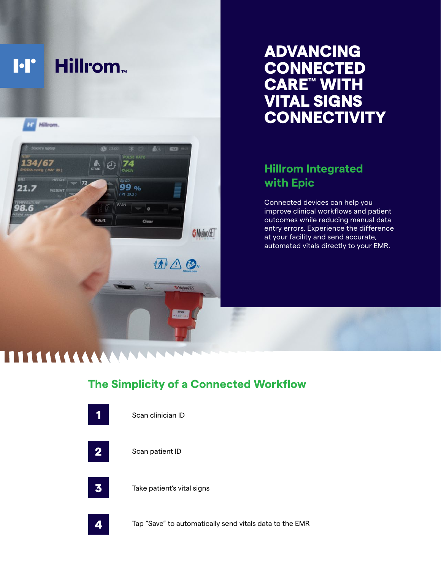

# ADVANCING **CONNECTED** CARE™ WITH VITAL SIGNS **CONNECTIVITY**

## **Hillrom Integrated with Epic**

Connected devices can help you improve clinical workflows and patient outcomes while reducing manual data entry errors. Experience the difference at your facility and send accurate, automated vitals directly to your EMR.

# **The Simplicity of a Connected Workflow**



Scan clinician ID

Scan patient ID

Take patient's vital signs

Tap "Save" to automatically send vitals data to the EMR